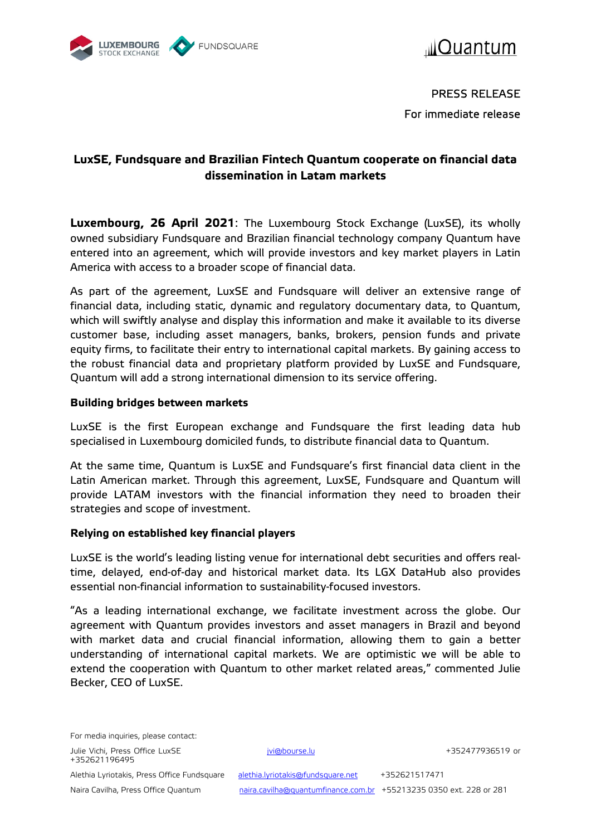



PRESS RELEASE For immediate release

# **LuxSE, Fundsquare and Brazilian Fintech Quantum cooperate on financial data dissemination in Latam markets**

**Luxembourg, 26 April 2021**: The Luxembourg Stock Exchange (LuxSE), its wholly owned subsidiary Fundsquare and Brazilian financial technology company Quantum have entered into an agreement, which will provide investors and key market players in Latin America with access to a broader scope of financial data.

As part of the agreement, LuxSE and Fundsquare will deliver an extensive range of financial data, including static, dynamic and regulatory documentary data, to Quantum, which will swiftly analyse and display this information and make it available to its diverse customer base, including asset managers, banks, brokers, pension funds and private equity firms, to facilitate their entry to international capital markets. By gaining access to the robust financial data and proprietary platform provided by LuxSE and Fundsquare, Quantum will add a strong international dimension to its service offering.

# **Building bridges between markets**

LuxSE is the first European exchange and Fundsquare the first leading data hub specialised in Luxembourg domiciled funds, to distribute financial data to Quantum.

At the same time, Quantum is LuxSE and Fundsquare's first financial data client in the Latin American market. Through this agreement, LuxSE, Fundsquare and Quantum will provide LATAM investors with the financial information they need to broaden their strategies and scope of investment.

## **Relying on established key financial players**

LuxSE is the world's leading listing venue for international debt securities and offers realtime, delayed, end-of-day and historical market data. Its LGX DataHub also provides essential non-financial information to sustainability-focused investors.

"As a leading international exchange, we facilitate investment across the globe. Our agreement with Quantum provides investors and asset managers in Brazil and beyond with market data and crucial financial information, allowing them to gain a better understanding of international capital markets. We are optimistic we will be able to extend the cooperation with Quantum to other market related areas," commented Julie Becker, CEO of LuxSE.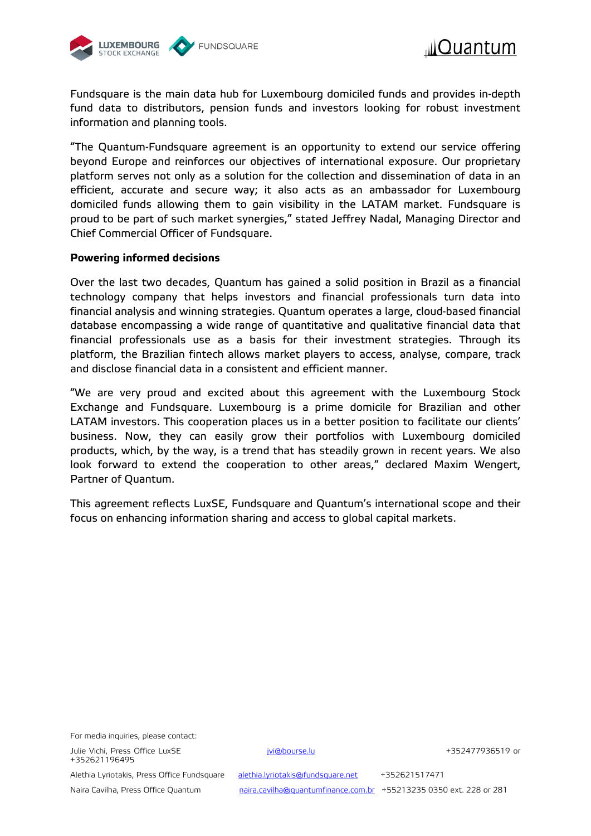



Fundsquare is the main data hub for Luxembourg domiciled funds and provides in-depth fund data to distributors, pension funds and investors looking for robust investment information and planning tools.

"The Quantum-Fundsquare agreement is an opportunity to extend our service offering beyond Europe and reinforces our objectives of international exposure. Our proprietary platform serves not only as a solution for the collection and dissemination of data in an efficient, accurate and secure way; it also acts as an ambassador for Luxembourg domiciled funds allowing them to gain visibility in the LATAM market. Fundsquare is proud to be part of such market synergies," stated Jeffrey Nadal, Managing Director and Chief Commercial Officer of Fundsquare.

### **Powering informed decisions**

Over the last two decades, Quantum has gained a solid position in Brazil as a financial technology company that helps investors and financial professionals turn data into financial analysis and winning strategies. Quantum operates a large, cloud-based financial database encompassing a wide range of quantitative and qualitative financial data that financial professionals use as a basis for their investment strategies. Through its platform, the Brazilian fintech allows market players to access, analyse, compare, track and disclose financial data in a consistent and efficient manner.

"We are very proud and excited about this agreement with the Luxembourg Stock Exchange and Fundsquare. Luxembourg is a prime domicile for Brazilian and other LATAM investors. This cooperation places us in a better position to facilitate our clients' business. Now, they can easily grow their portfolios with Luxembourg domiciled products, which, by the way, is a trend that has steadily grown in recent years. We also look forward to extend the cooperation to other areas," declared Maxim Wengert, Partner of Quantum.

This agreement reflects LuxSE, Fundsquare and Quantum's international scope and their focus on enhancing information sharing and access to global capital markets.

For media inquiries, please contact:

Julie Vichi, Press Office LuxSE in the state of the product of the state of the state of the state of the state of the state of the state of the state of the state of the state of the state of the state of the state of the +352621196495

Alethia Lyriotakis, Press Office Fundsquare [alethia.lyriotakis@fundsquare.net](mailto:alethia.lyriotakis@fundsquare.net) +352621517471

Naira Cavilha, Press Office Quantum [naira.cavilha@quantumfinance.com.br](mailto:naira.cavilha@quantumfinance.com.br) +55213235 0350 ext. 228 or 281